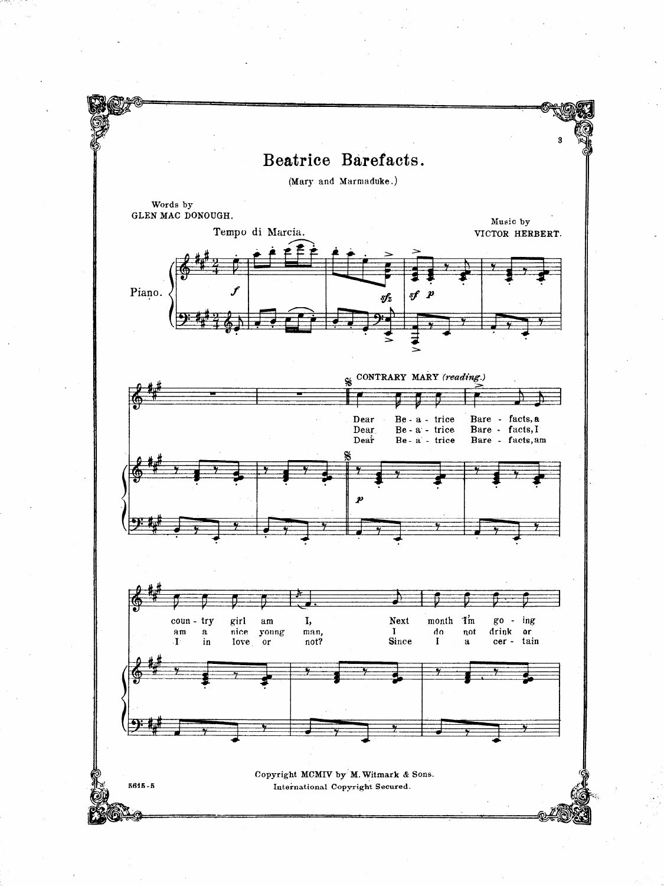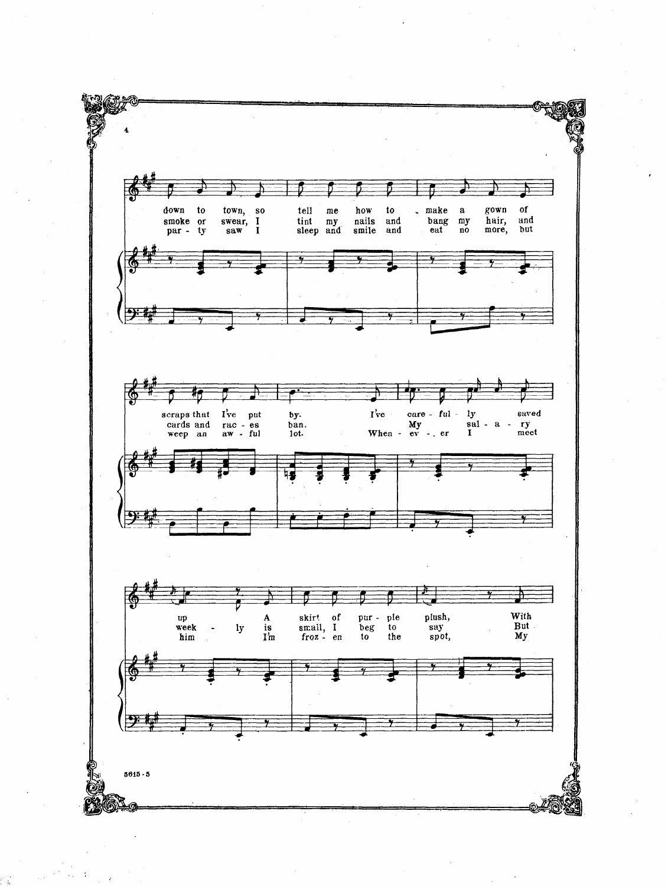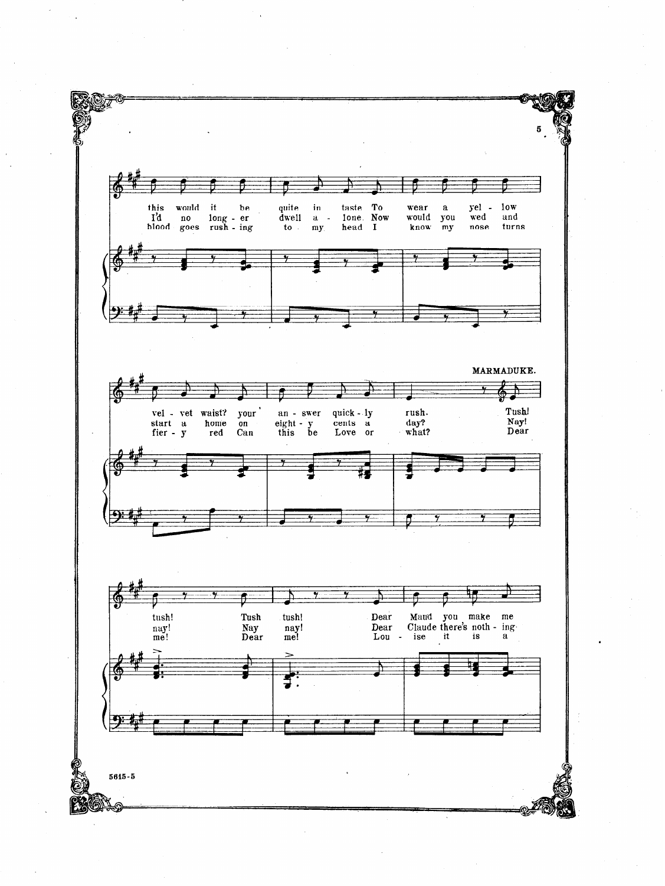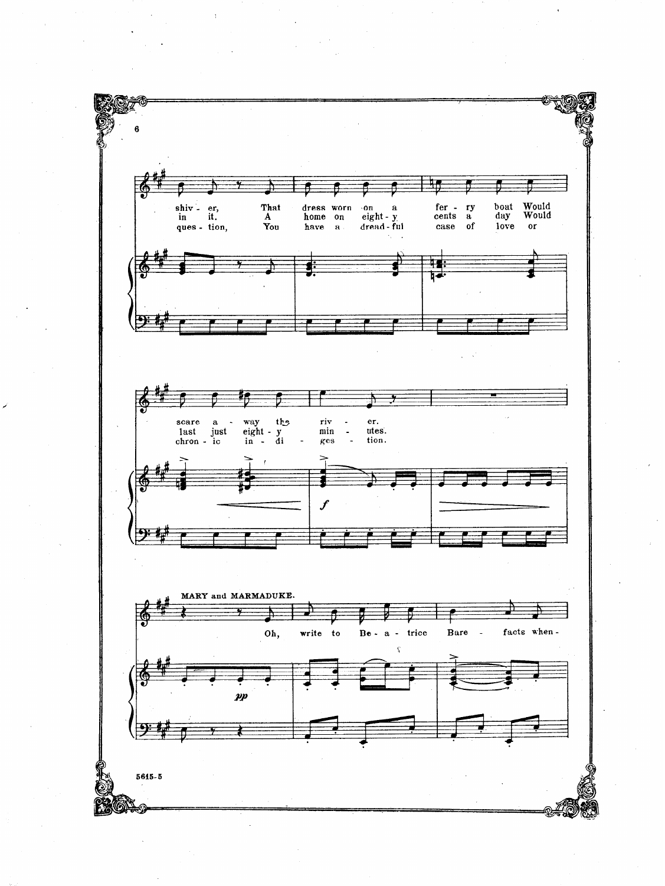